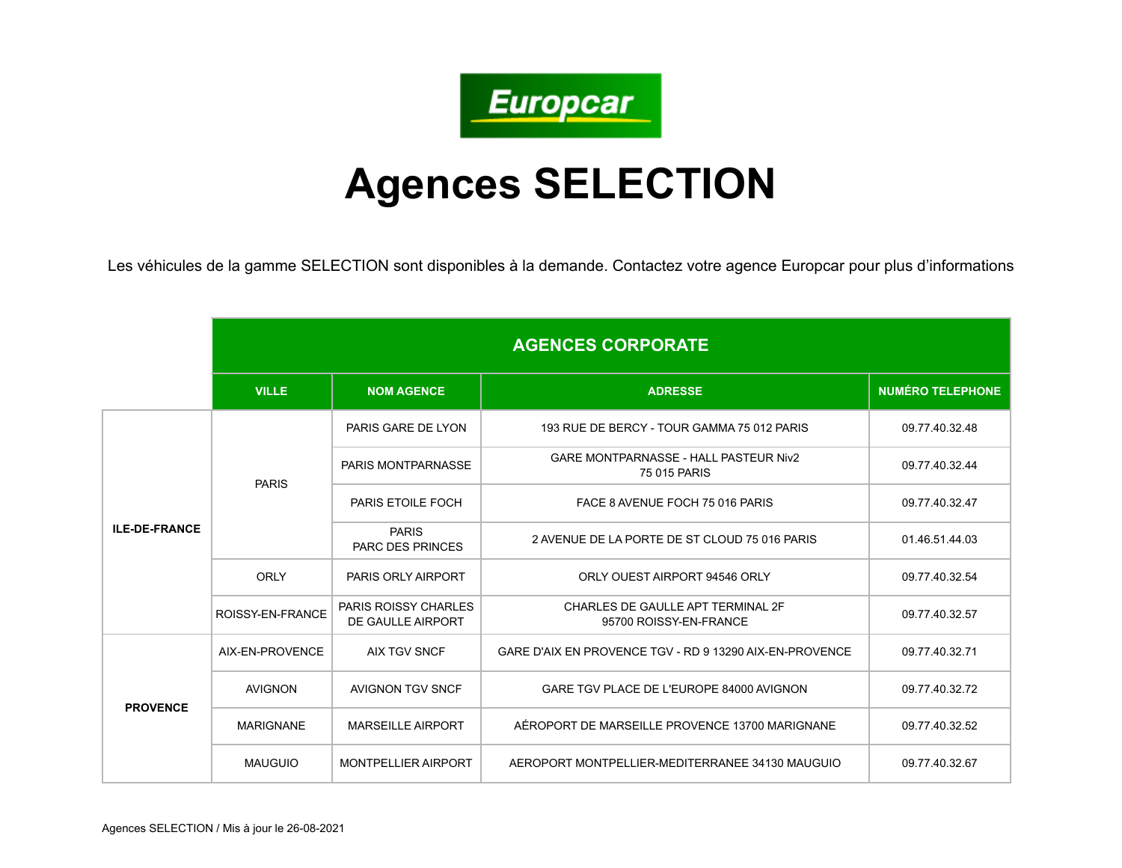

## **Agences SELECTION**

Les véhicules de la gamme SELECTION sont disponibles à la demande. Contactez votre agence Europcar pour plus d'informations

|                      | <b>AGENCES CORPORATE</b> |                                                  |                                                              |                         |
|----------------------|--------------------------|--------------------------------------------------|--------------------------------------------------------------|-------------------------|
|                      | <b>VILLE</b>             | <b>NOM AGENCE</b>                                | <b>ADRESSE</b>                                               | <b>NUMÉRO TELEPHONE</b> |
| <b>ILE-DE-FRANCE</b> | <b>PARIS</b>             | PARIS GARE DE LYON                               | 193 RUE DE BERCY - TOUR GAMMA 75 012 PARIS                   | 09.77.40.32.48          |
|                      |                          | PARIS MONTPARNASSE                               | <b>GARE MONTPARNASSE - HALL PASTEUR Niv2</b><br>75 015 PARIS | 09.77.40.32.44          |
|                      |                          | PARIS ETOILE FOCH                                | FACE 8 AVENUE FOCH 75 016 PARIS                              | 09.77.40.32.47          |
|                      |                          | <b>PARIS</b><br><b>PARC DES PRINCES</b>          | 2 AVENUE DE LA PORTE DE ST CLOUD 75 016 PARIS                | 01.46.51.44.03          |
|                      | ORLY                     | PARIS ORLY AIRPORT                               | ORLY OUEST AIRPORT 94546 ORLY                                | 09.77.40.32.54          |
|                      | ROISSY-EN-FRANCE         | <b>PARIS ROISSY CHARLES</b><br>DE GAULLE AIRPORT | CHARLES DE GAULLE APT TERMINAL 2F<br>95700 ROISSY-EN-FRANCE  | 09.77.40.32.57          |
| <b>PROVENCE</b>      | AIX-EN-PROVENCE          | <b>AIX TGV SNCF</b>                              | GARE D'AIX EN PROVENCE TGV - RD 9 13290 AIX-EN-PROVENCE      | 09.77.40.32.71          |
|                      | <b>AVIGNON</b>           | AVIGNON TGV SNCF                                 | GARE TGV PLACE DE L'EUROPE 84000 AVIGNON                     | 09.77.40.32.72          |
|                      | <b>MARIGNANE</b>         | <b>MARSEILLE AIRPORT</b>                         | AÉROPORT DE MARSEILLE PROVENCE 13700 MARIGNANE               | 09.77.40.32.52          |
|                      | <b>MAUGUIO</b>           | <b>MONTPELLIER AIRPORT</b>                       | AEROPORT MONTPELLIER-MEDITERRANEE 34130 MAUGUIO              | 09.77.40.32.67          |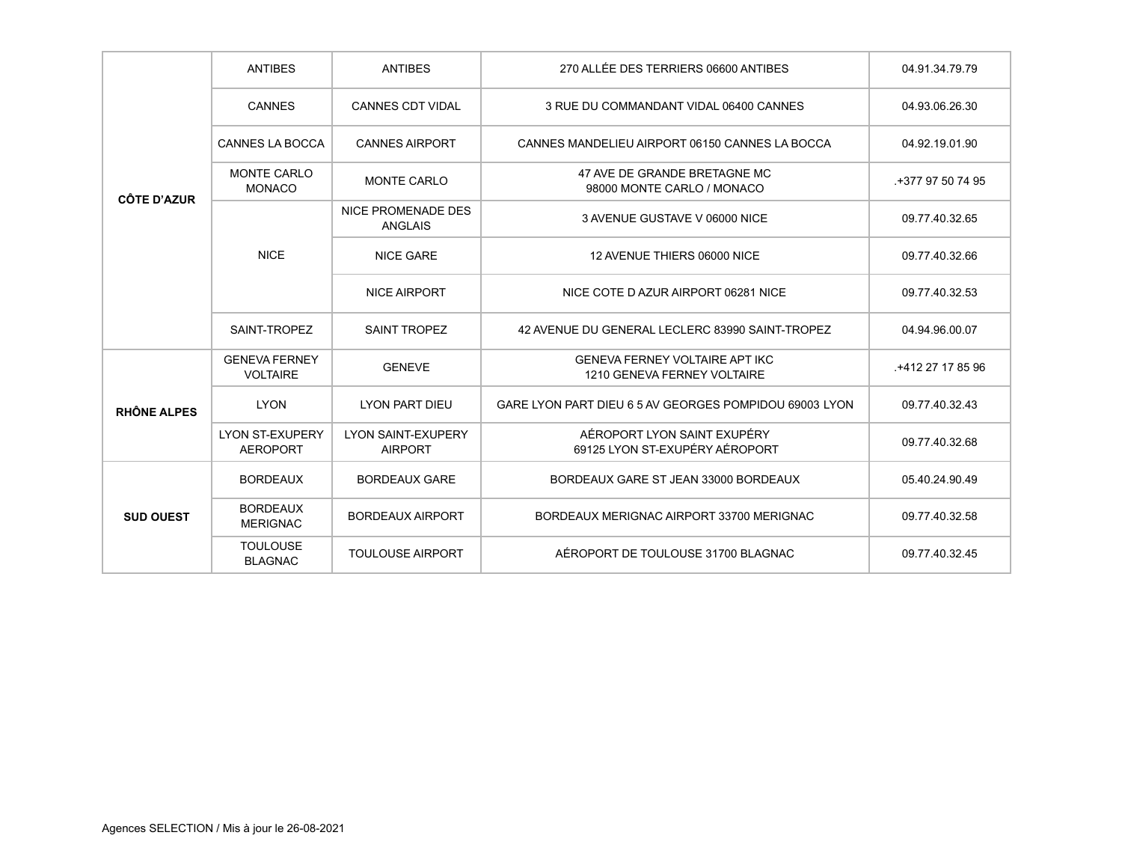| <b>CÔTE D'AZUR</b> | <b>ANTIBES</b>                            | <b>ANTIBES</b>                              | 270 ALLÉE DES TERRIERS 06600 ANTIBES                                 | 04.91.34.79.79   |
|--------------------|-------------------------------------------|---------------------------------------------|----------------------------------------------------------------------|------------------|
|                    | <b>CANNES</b>                             | <b>CANNES CDT VIDAL</b>                     | 3 RUE DU COMMANDANT VIDAL 06400 CANNES                               | 04.93.06.26.30   |
|                    | <b>CANNES LA BOCCA</b>                    | <b>CANNES AIRPORT</b>                       | CANNES MANDELIEU AIRPORT 06150 CANNES LA BOCCA                       | 04.92.19.01.90   |
|                    | <b>MONTE CARLO</b><br><b>MONACO</b>       | <b>MONTE CARLO</b>                          | 47 AVE DE GRANDE BRETAGNE MC<br>98000 MONTE CARLO / MONACO           | +377 97 50 74 95 |
|                    | <b>NICE</b>                               | NICE PROMENADE DES<br><b>ANGLAIS</b>        | 3 AVENUE GUSTAVE V 06000 NICE                                        | 09.77.40.32.65   |
|                    |                                           | <b>NICE GARE</b>                            | 12 AVENUE THIERS 06000 NICE                                          | 09.77.40.32.66   |
|                    |                                           | <b>NICE AIRPORT</b>                         | NICE COTE D AZUR AIRPORT 06281 NICE                                  | 09.77.40.32.53   |
|                    | SAINT-TROPEZ                              | <b>SAINT TROPEZ</b>                         | 42 AVENUE DU GENERAL LECLERC 83990 SAINT-TROPEZ                      | 04.94.96.00.07   |
| <b>RHÔNE ALPES</b> | <b>GENEVA FERNEY</b><br><b>VOLTAIRE</b>   | <b>GENEVE</b>                               | <b>GENEVA FERNEY VOLTAIRE APT IKC</b><br>1210 GENEVA FERNEY VOLTAIRE | +412 27 17 85 96 |
|                    | <b>LYON</b>                               | <b>LYON PART DIEU</b>                       | GARE LYON PART DIEU 6 5 AV GEORGES POMPIDOU 69003 LYON               | 09.77.40.32.43   |
|                    | <b>LYON ST-EXUPERY</b><br><b>AEROPORT</b> | <b>LYON SAINT-EXUPERY</b><br><b>AIRPORT</b> | AÉROPORT LYON SAINT EXUPÉRY<br>69125 LYON ST-EXUPÉRY AÉROPORT        | 09.77.40.32.68   |
| <b>SUD OUEST</b>   | <b>BORDEAUX</b>                           | <b>BORDEAUX GARE</b>                        | BORDEAUX GARE ST JEAN 33000 BORDEAUX                                 | 05.40.24.90.49   |
|                    | <b>BORDEAUX</b><br><b>MERIGNAC</b>        | <b>BORDEAUX AIRPORT</b>                     | BORDEAUX MERIGNAC AIRPORT 33700 MERIGNAC                             | 09.77.40.32.58   |
|                    | <b>TOULOUSE</b><br><b>BLAGNAC</b>         | <b>TOULOUSE AIRPORT</b>                     | AÉROPORT DE TOULOUSE 31700 BLAGNAC                                   | 09.77.40.32.45   |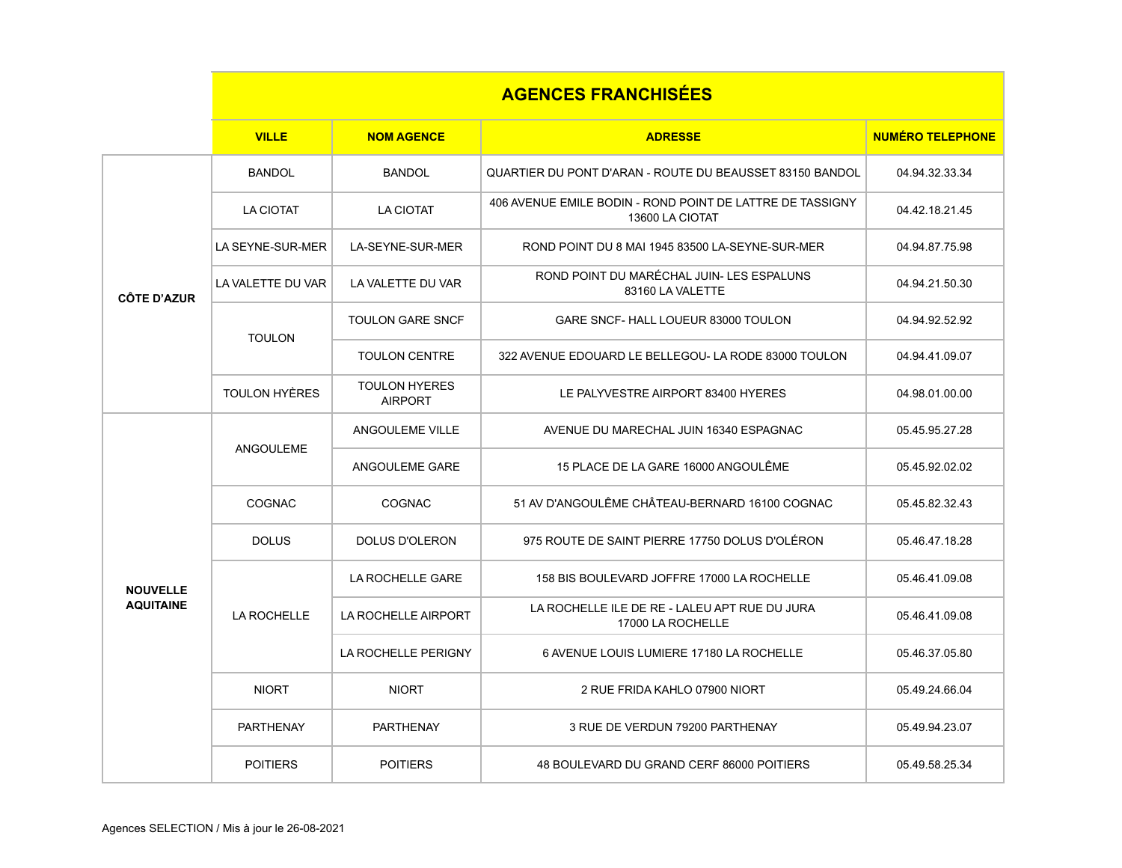| <b>AGENCES FRANCHISEES</b> |  |
|----------------------------|--|
|                            |  |

|                                     | <b>VILLE</b>      | <b>NOM AGENCE</b>                      | <b>ADRESSE</b>                                                               | <b>NUMÉRO TELEPHONE</b> |
|-------------------------------------|-------------------|----------------------------------------|------------------------------------------------------------------------------|-------------------------|
| <b>CÔTE D'AZUR</b>                  | <b>BANDOL</b>     | <b>BANDOL</b>                          | QUARTIER DU PONT D'ARAN - ROUTE DU BEAUSSET 83150 BANDOL                     | 04.94.32.33.34          |
|                                     | <b>LA CIOTAT</b>  | <b>LA CIOTAT</b>                       | 406 AVENUE EMILE BODIN - ROND POINT DE LATTRE DE TASSIGNY<br>13600 LA CIOTAT | 04.42.18.21.45          |
|                                     | LA SEYNE-SUR-MER  | LA-SEYNE-SUR-MER                       | ROND POINT DU 8 MAI 1945 83500 LA-SEYNE-SUR-MER                              | 04.94.87.75.98          |
|                                     | LA VALETTE DU VAR | LA VALETTE DU VAR                      | ROND POINT DU MARÉCHAL JUIN- LES ESPALUNS<br>83160 LA VALETTE                | 04.94.21.50.30          |
|                                     | <b>TOULON</b>     | <b>TOULON GARE SNCF</b>                | GARE SNCF- HALL LOUEUR 83000 TOULON                                          | 04.94.92.52.92          |
|                                     |                   | <b>TOULON CENTRE</b>                   | 322 AVENUE EDOUARD LE BELLEGOU- LA RODE 83000 TOULON                         | 04.94.41.09.07          |
|                                     | TOULON HYÈRES     | <b>TOULON HYERES</b><br><b>AIRPORT</b> | LE PALYVESTRE AIRPORT 83400 HYERES                                           | 04.98.01.00.00          |
| <b>NOUVELLE</b><br><b>AQUITAINE</b> | <b>ANGOULEME</b>  | <b>ANGOULEME VILLE</b>                 | AVENUE DU MARECHAL JUIN 16340 ESPAGNAC                                       | 05.45.95.27.28          |
|                                     |                   | ANGOULEME GARE                         | 15 PLACE DE LA GARE 16000 ANGOULÊME                                          | 05.45.92.02.02          |
|                                     | <b>COGNAC</b>     | <b>COGNAC</b>                          | 51 AV D'ANGOULÊME CHÂTEAU-BERNARD 16100 COGNAC                               | 05.45.82.32.43          |
|                                     | <b>DOLUS</b>      | <b>DOLUS D'OLERON</b>                  | 975 ROUTE DE SAINT PIERRE 17750 DOLUS D'OLÉRON                               | 05.46.47.18.28          |
|                                     | LA ROCHELLE       | <b>LA ROCHELLE GARE</b>                | 158 BIS BOULEVARD JOFFRE 17000 LA ROCHELLE                                   | 05.46.41.09.08          |
|                                     |                   | <b>LA ROCHELLE AIRPORT</b>             | LA ROCHELLE ILE DE RE - LALEU APT RUE DU JURA<br>17000 LA ROCHELLE           | 05.46.41.09.08          |
|                                     |                   | LA ROCHELLE PERIGNY                    | 6 AVENUE LOUIS LUMIERE 17180 LA ROCHELLE                                     | 05.46.37.05.80          |
|                                     | <b>NIORT</b>      | <b>NIORT</b>                           | 2 RUE FRIDA KAHLO 07900 NIORT                                                | 05.49.24.66.04          |
|                                     | <b>PARTHENAY</b>  | <b>PARTHENAY</b>                       | 3 RUE DE VERDUN 79200 PARTHENAY                                              | 05.49.94.23.07          |
|                                     | <b>POITIERS</b>   | <b>POITIERS</b>                        | 48 BOULEVARD DU GRAND CERF 86000 POITIERS                                    | 05.49.58.25.34          |